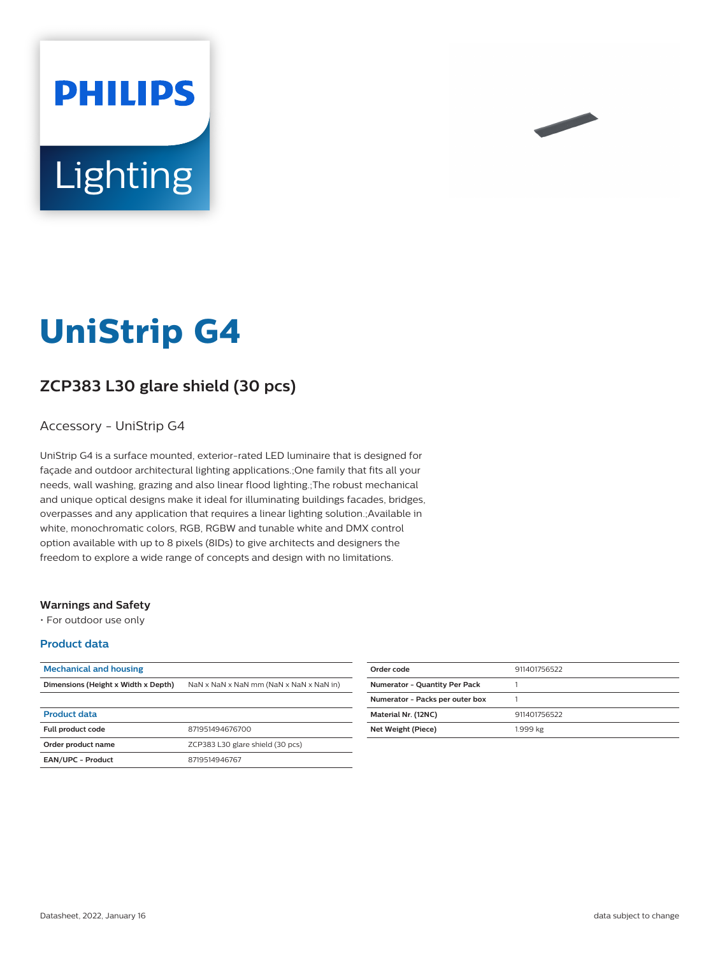# **PHILIPS** Lighting



# **ZCP383 L30 glare shield (30 pcs)**

### Accessory - UniStrip G4

UniStrip G4 is a surface mounted, exterior-rated LED luminaire that is designed for façade and outdoor architectural lighting applications.;One family that fits all your needs, wall washing, grazing and also linear flood lighting.;The robust mechanical and unique optical designs make it ideal for illuminating buildings facades, bridges, overpasses and any application that requires a linear lighting solution.;Available in white, monochromatic colors, RGB, RGBW and tunable white and DMX control option available with up to 8 pixels (8IDs) to give architects and designers the freedom to explore a wide range of concepts and design with no limitations.

#### **Warnings and Safety**

• For outdoor use only

#### **Product data**

| <b>Mechanical and housing</b>       |                                         |
|-------------------------------------|-----------------------------------------|
| Dimensions (Height x Width x Depth) | NaN x NaN x NaN mm (NaN x NaN x NaN in) |
|                                     |                                         |
| <b>Product data</b>                 |                                         |
| <b>Full product code</b>            | 871951494676700                         |
| Order product name                  | ZCP383 L30 glare shield (30 pcs)        |
| <b>EAN/UPC - Product</b>            | 8719514946767                           |

| Order code                           | 911401756522 |
|--------------------------------------|--------------|
| <b>Numerator - Quantity Per Pack</b> |              |
| Numerator - Packs per outer box      |              |
| Material Nr. (12NC)                  | 911401756522 |
| Net Weight (Piece)                   | 1.999 kg     |
|                                      |              |